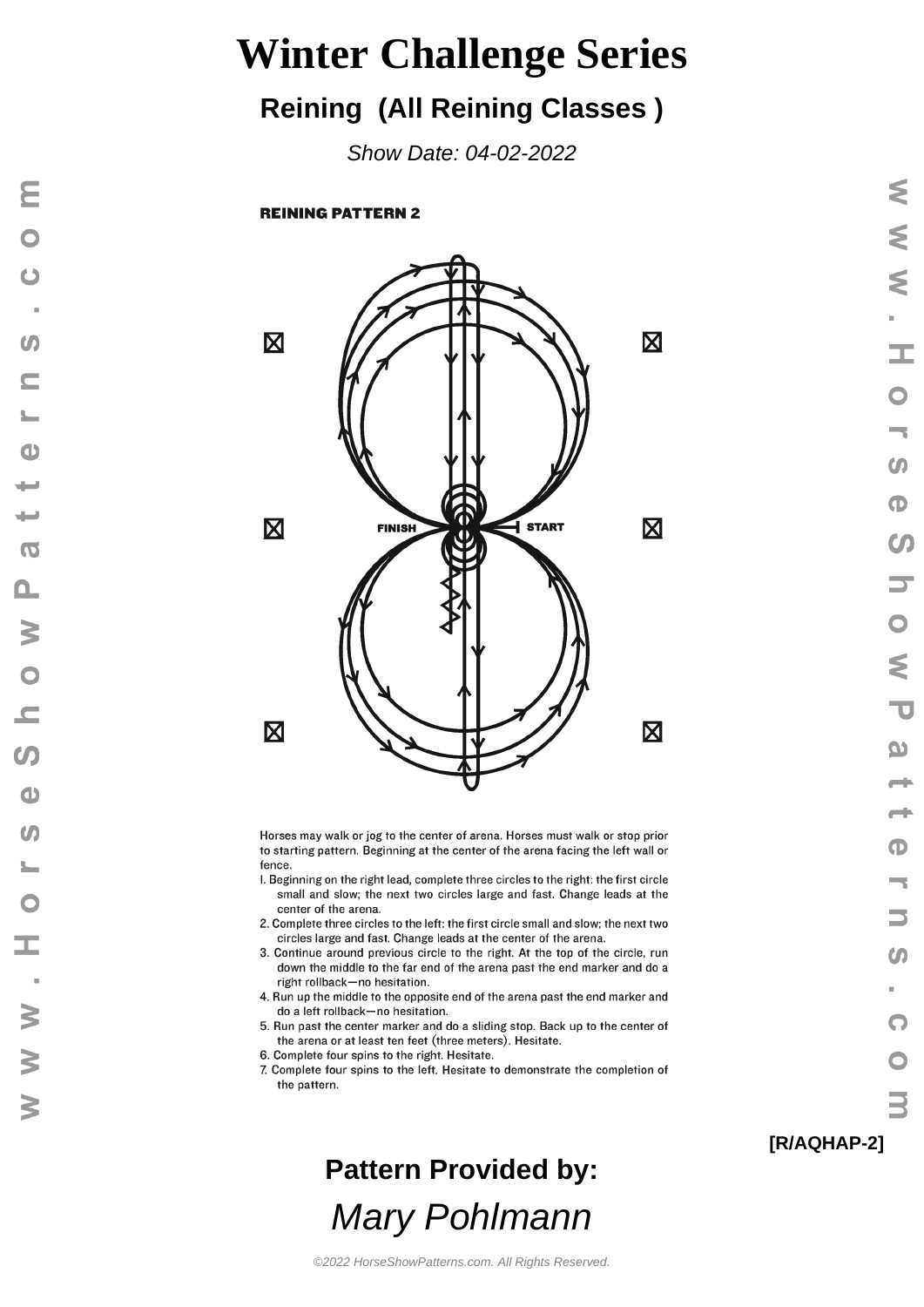#### **Reining (All Reining Classes )**

Show Date: 04-02-2022

**REINING PATTERN 2** 

Ε

 $\bullet$ 

 $\overline{a}$ 

 $\omega$ 

 $\subset$ 

 $\mathbf{d}$ 

ا سال

سه

 $\sigma$ 

 $\mathbf{a}$ 

 $\geq$ 

 $\bullet$ 

 $\overline{\phantom{a}}$ 

 $\Omega$ 

 $\bigcirc$ 

 $\omega$ 

 $\frac{1}{2}$ 

 $\bullet$ 

œ

 $\geq$ 

 $\geq$ 

 $\geq$ 



Horses may walk or jog to the center of arena. Horses must walk or stop prior to starting pattern. Beginning at the center of the arena facing the left wall or fence.

- I. Beginning on the right lead, complete three circles to the right: the first circle small and slow; the next two circles large and fast. Change leads at the center of the arena.
- 2. Complete three circles to the left: the first circle small and slow; the next two circles large and fast. Change leads at the center of the arena.
- 3. Continue around previous circle to the right. At the top of the circle, run down the middle to the far end of the arena past the end marker and do a right rollback-no hesitation.
- 4. Run up the middle to the opposite end of the arena past the end marker and do a left rollback-no hesitation.
- 5. Run past the center marker and do a sliding stop. Back up to the center of the arena or at least ten feet (three meters). Hesitate.
- 6. Complete four spins to the right. Hesitate.
- 7. Complete four spins to the left. Hesitate to demonstrate the completion of the pattern.

**Pattern Provided by:** Mary Pohlmann

#### **[R/AQHAP-2]**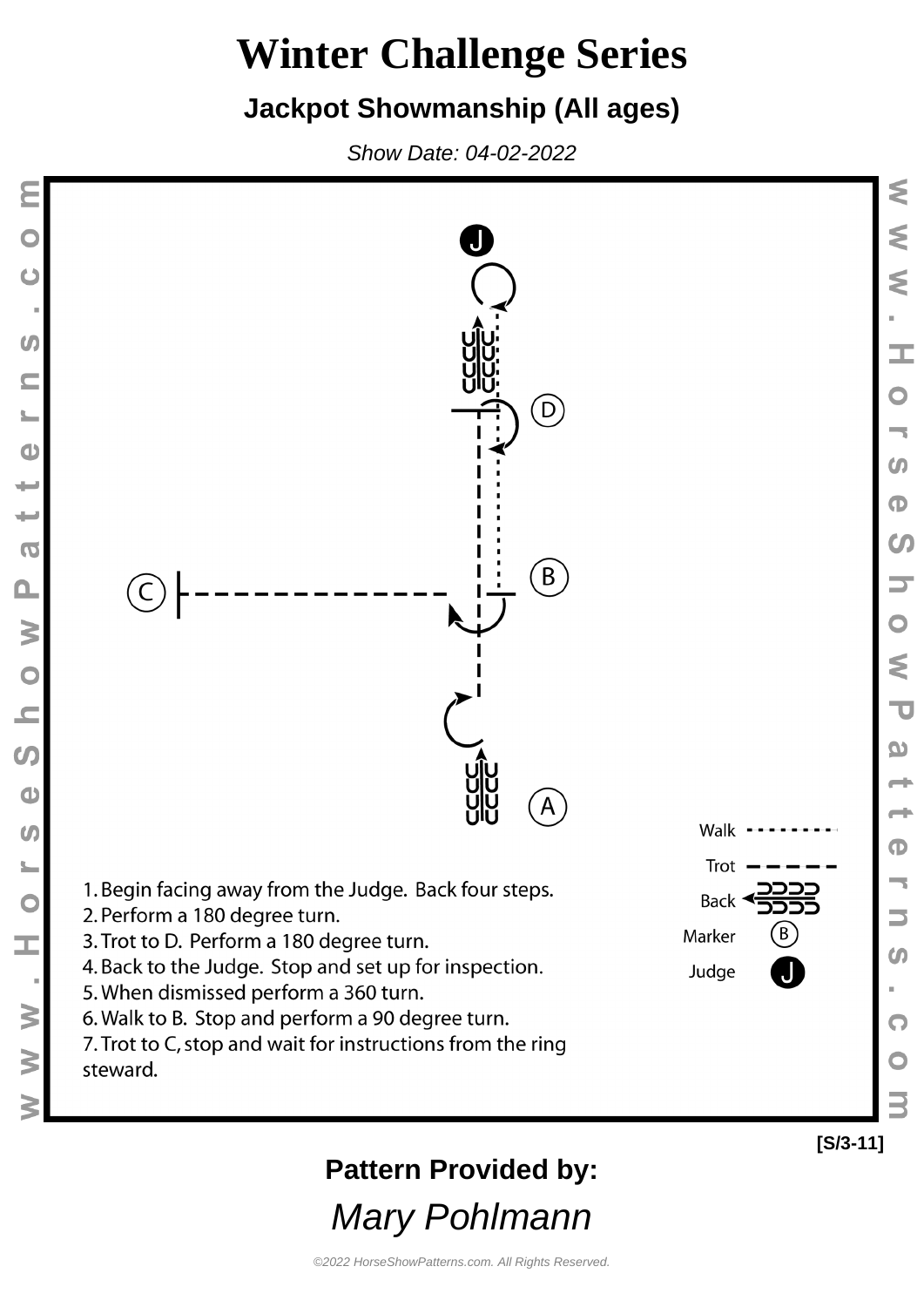#### **Jackpot Showmanship (All ages)**

Show Date: 04-02-2022

 $\boldsymbol{G}$ 

 $\subseteq$ 

 $\bullet$ 

پ

₩

 $\overline{0}$ 

 $\Omega$ 

 $\geq$ 

 $\begin{array}{c} 0 \\ 0 \end{array}$ 

 $\boldsymbol{\omega}$ 

 $\bullet$ 

 $\omega$ 

 $\frac{1}{2}$ 

 $\overline{C}$ 

Ì,

 $\geq$ 

 $\geq$ 



**Pattern Provided by:**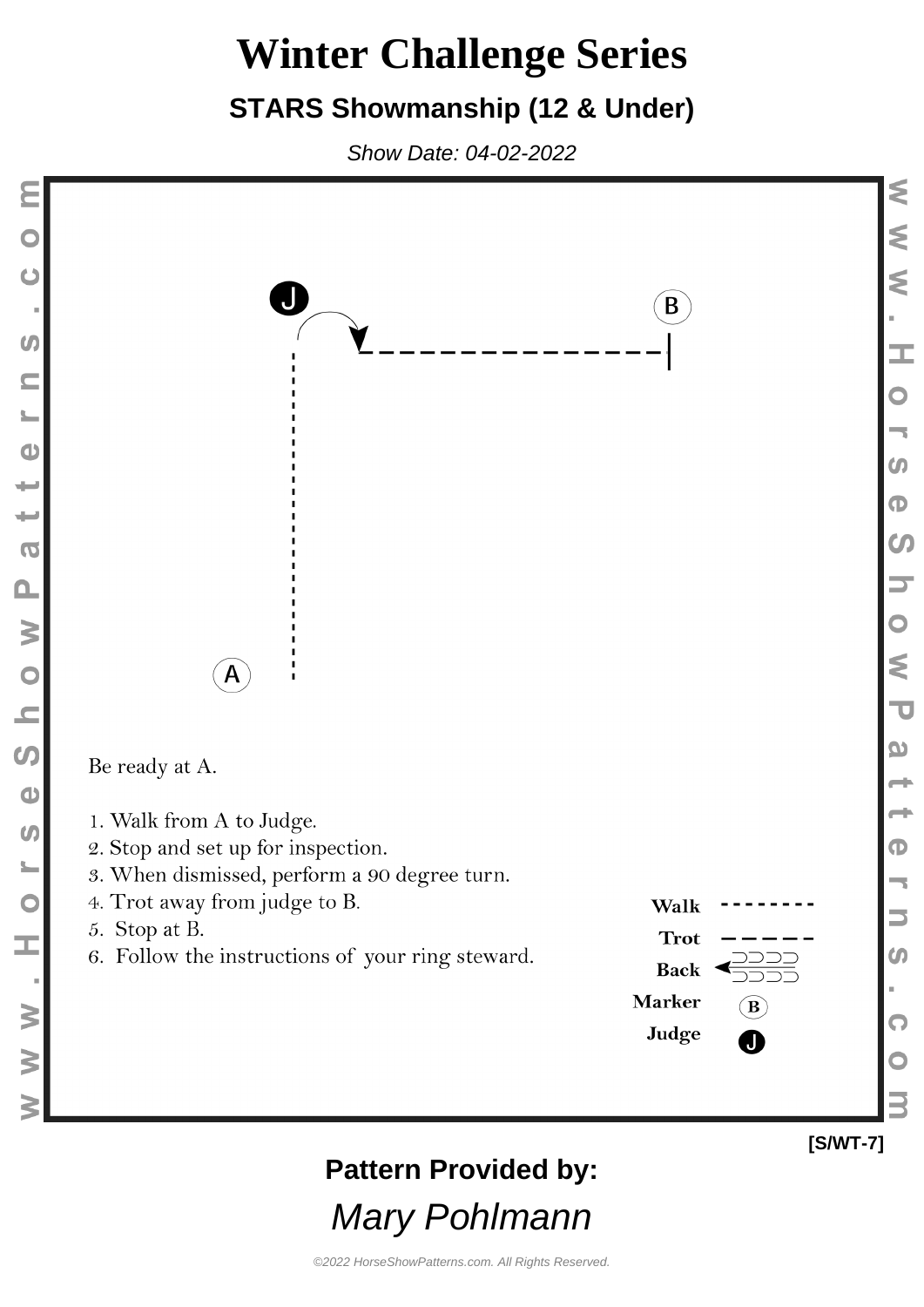### **STARS Showmanship (12 & Under)**

Show Date: 04-02-2022



©2022 HorseShowPatterns.com. All Rights Reserved.

Mary Pohlmann

**[S/WT-7]**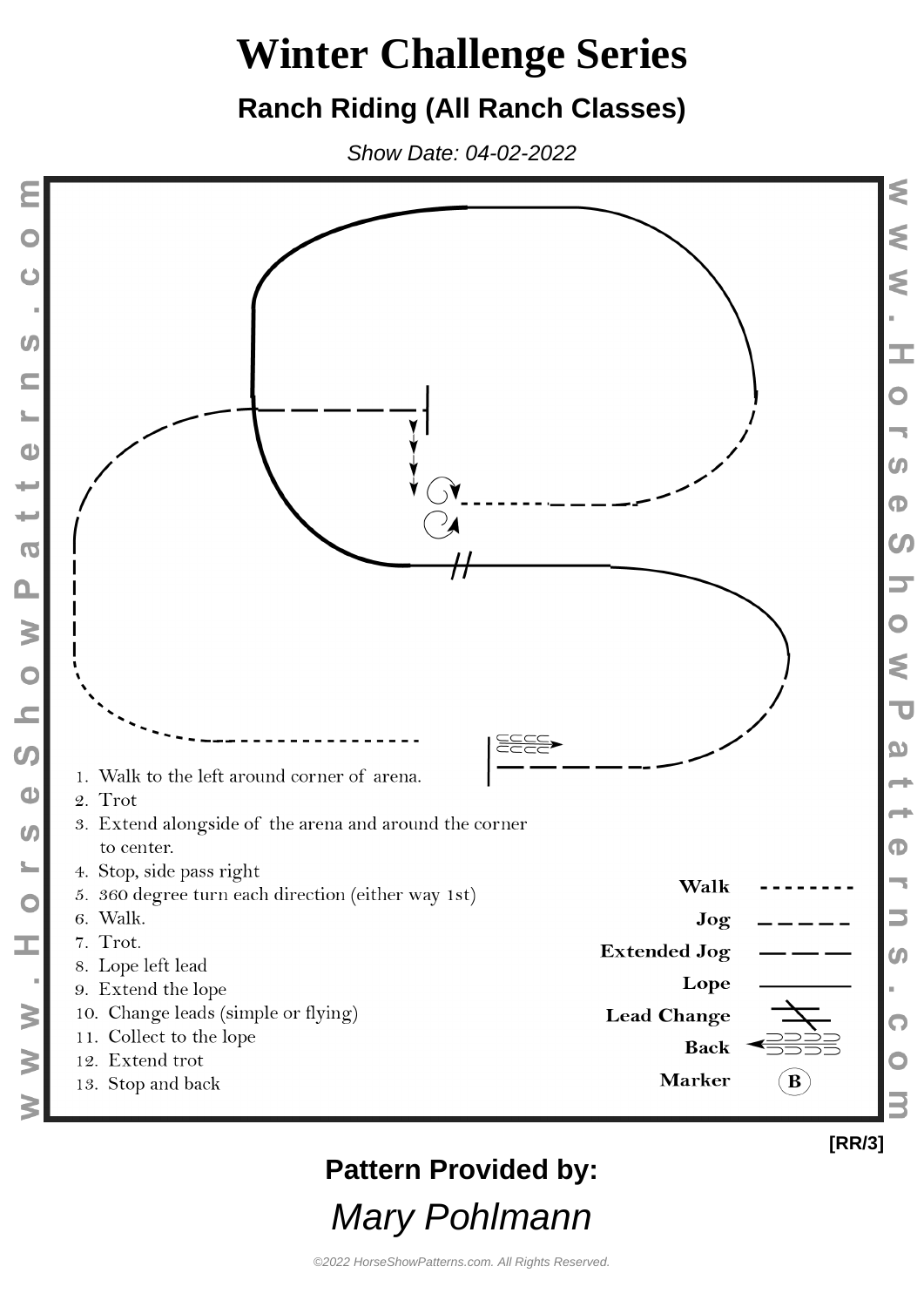### **Ranch Riding (All Ranch Classes)**

Show Date: 04-02-2022



 $\Omega$ 

C

### **Pattern Provided by:**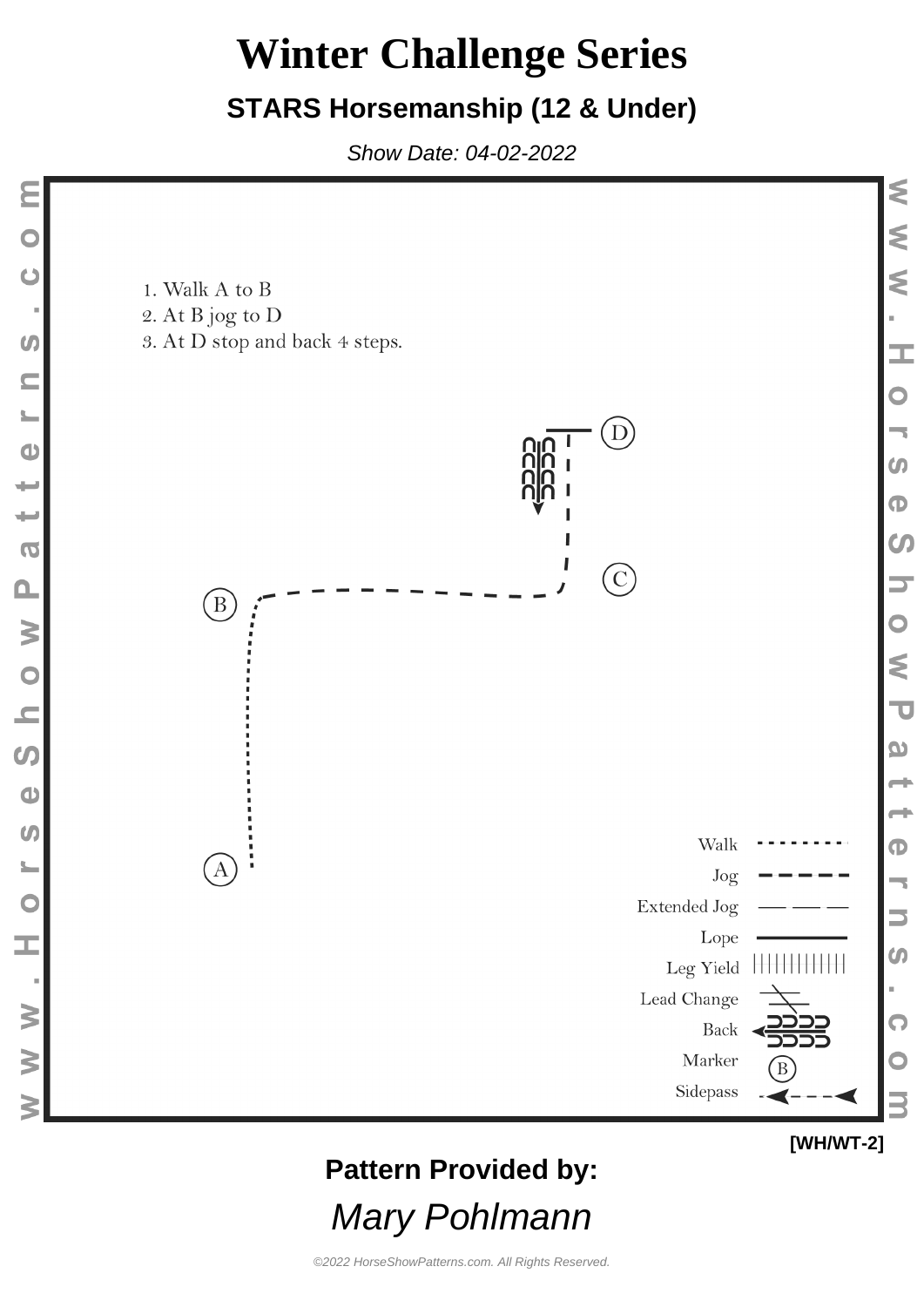#### **STARS Horsemanship (12 & Under)**

Show Date: 04-02-2022



### **Pattern Provided by:**

Mary Pohlmann

**[WH/WT-2]**

 $\overline{\mathbf{U}}$ 

٦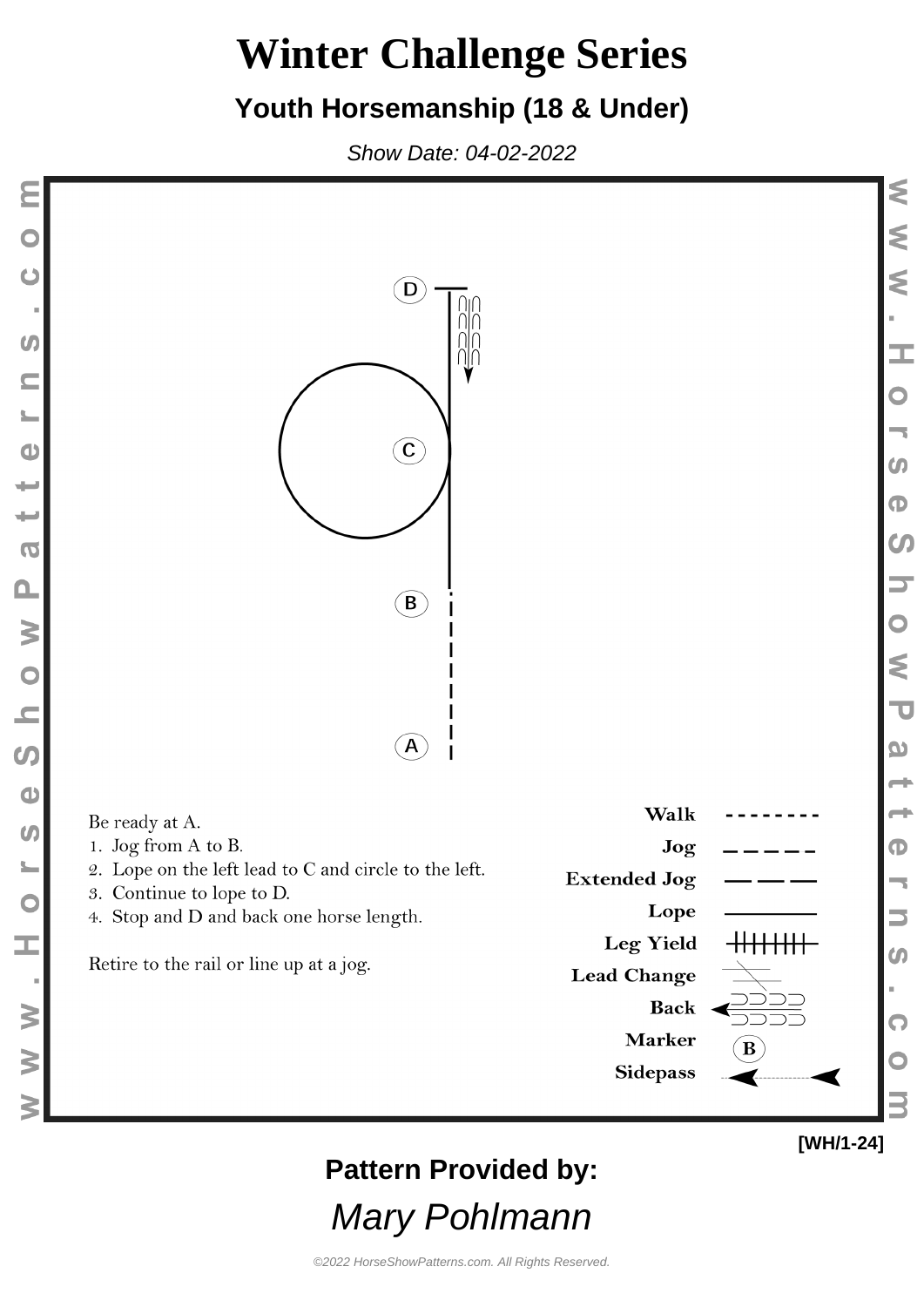#### **Youth Horsemanship (18 & Under)**

Show Date: 04-02-2022



©2022 HorseShowPatterns.com. All Rights Reserved.

Mary Pohlmann

**[WH/1-24]**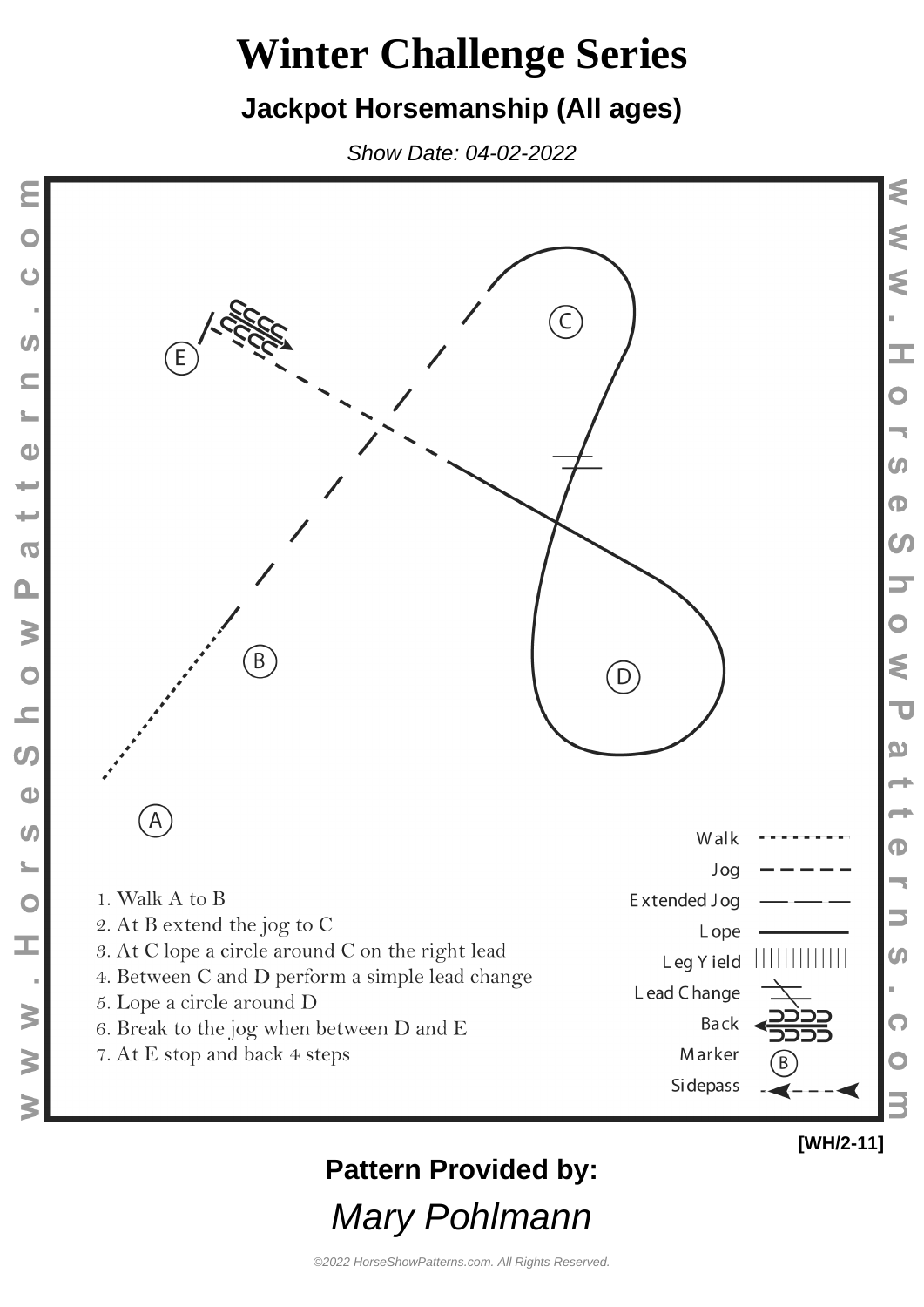#### **Jackpot Horsemanship (All ages)**

Show Date: 04-02-2022



### **Pattern Provided by:**

Mary Pohlmann

K

⋚

⋚

зg

 $\mathbf{\mathsf{O}}$ 

 $\boldsymbol{\omega}$ 

 $\mathbf \Phi$ 

 $\boldsymbol{\omega}$ 

⋚

 $\overline{\mathbf{U}}$ 

 $\boldsymbol{\omega}$ 

 $\mathbf \Phi$ 

 $\boldsymbol{\omega}$ 

Q

©2022 HorseShowPatterns.com. All Rights Reserved.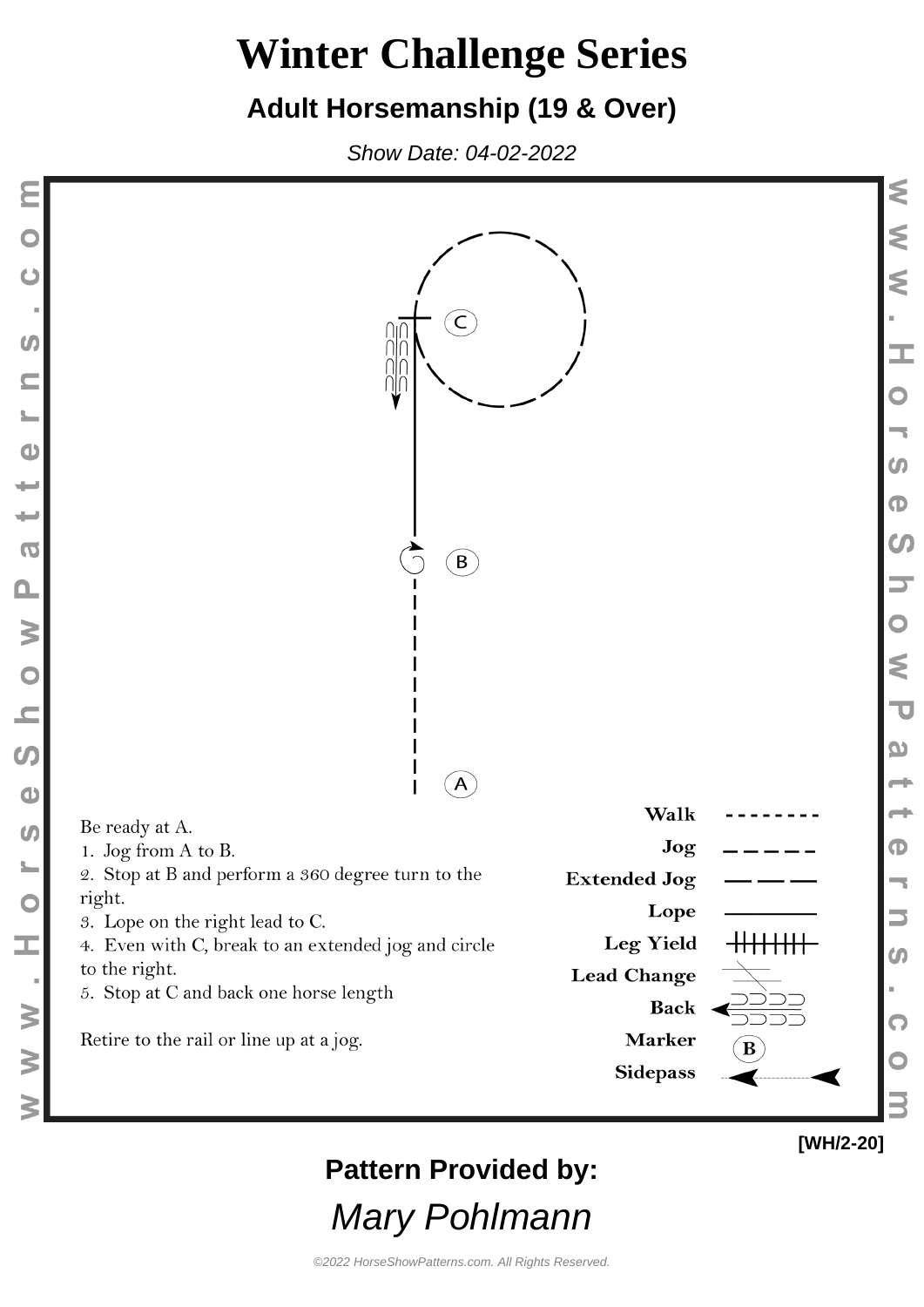#### **Adult Horsemanship (19 & Over)**

Show Date: 04-02-2022

Ċ

 $\boldsymbol{G}$ 

 $\bullet$ 

پ

₩

 $\overline{O}$ 

 $\Omega$ 

W O N

 $\boldsymbol{\omega}$ 

 $\bullet$ 

 $\omega$ 

 $\frac{1}{2}$ 

 $\overline{\mathbf{C}}$ 

Œ,

 $\geq$ 

 $\geq$ 



**Pattern Provided by:**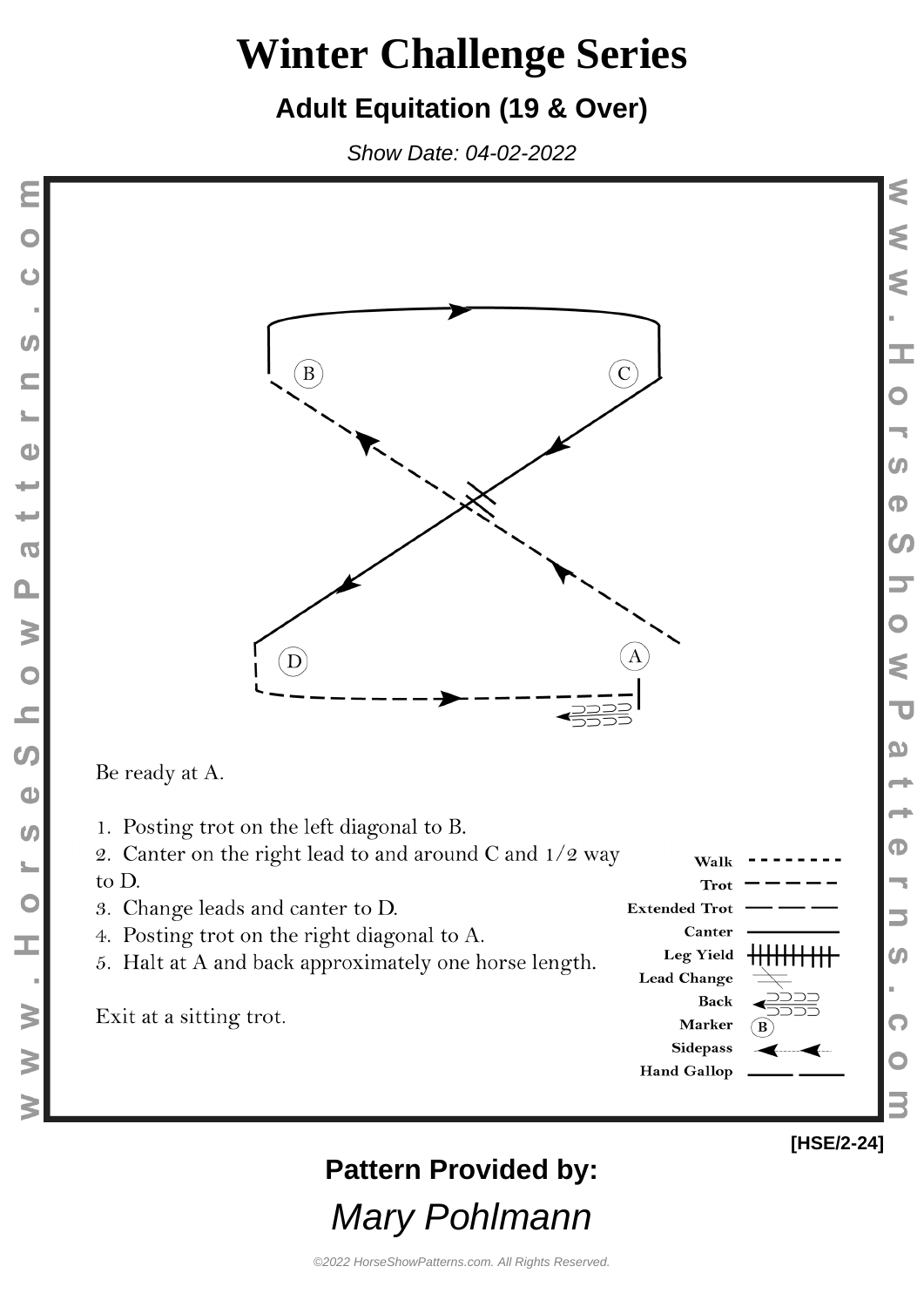### **Adult Equitation (19 & Over)**

Show Date: 04-02-2022





5. Halt at A and back approximately one horse length.

Exit at a sitting trot.

to D.



**Pattern Provided by:**

Mary Pohlmann

⋚

Ś

₹

I.

m

 $\mathbf \Phi$ 

**CO** 

₹

 $\overline{\mathbf{u}}$ 

യ

Ф

 $\boldsymbol{\omega}$ 

Q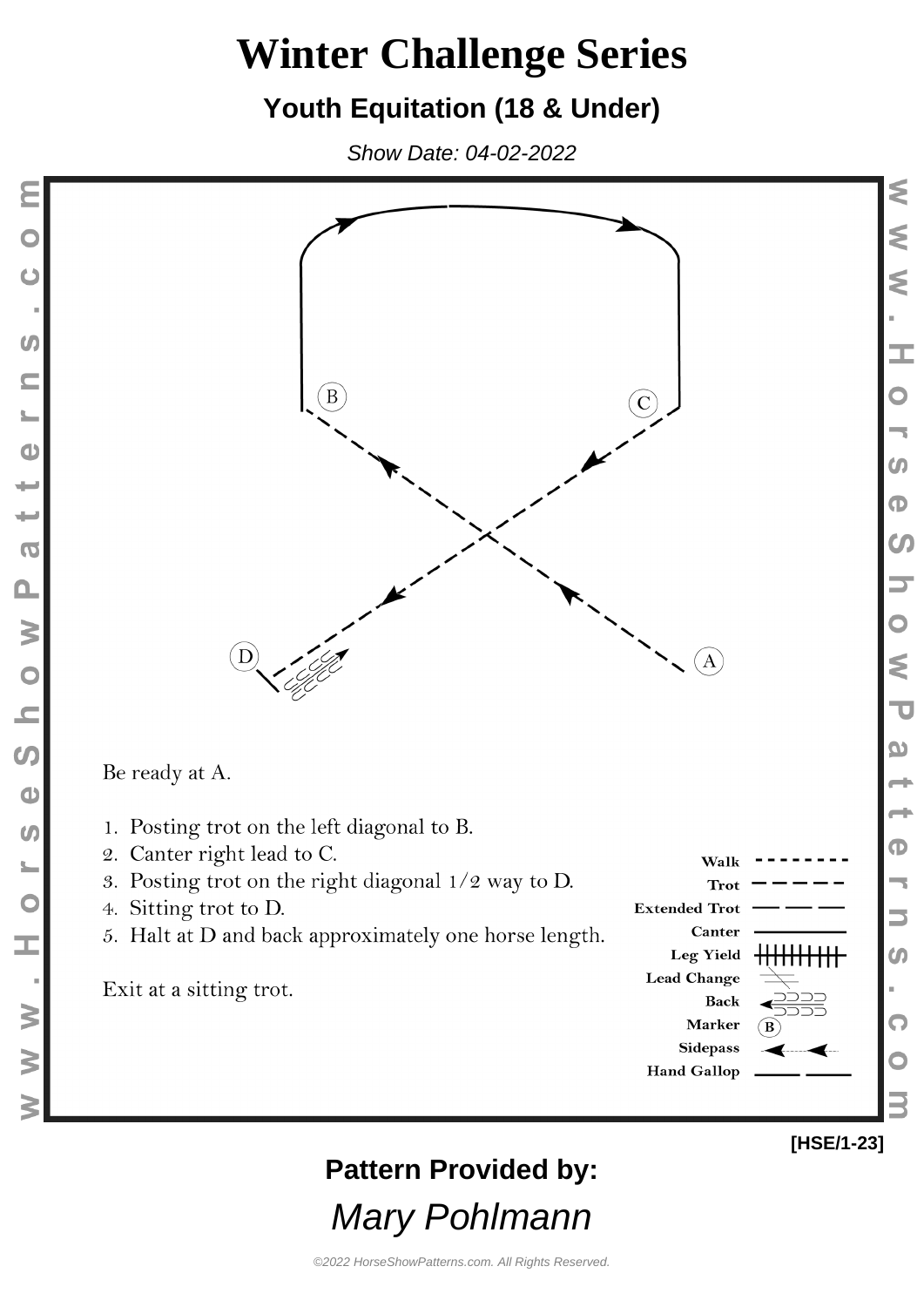### **Youth Equitation (18 & Under)**

Show Date: 04-02-2022



**Pattern Provided by:**

Mary Pohlmann

⋚

⋚

Ś

I.

**CO** 

⋚

 $\overline{\mathbf{u}}$ 

യ

Ф

Q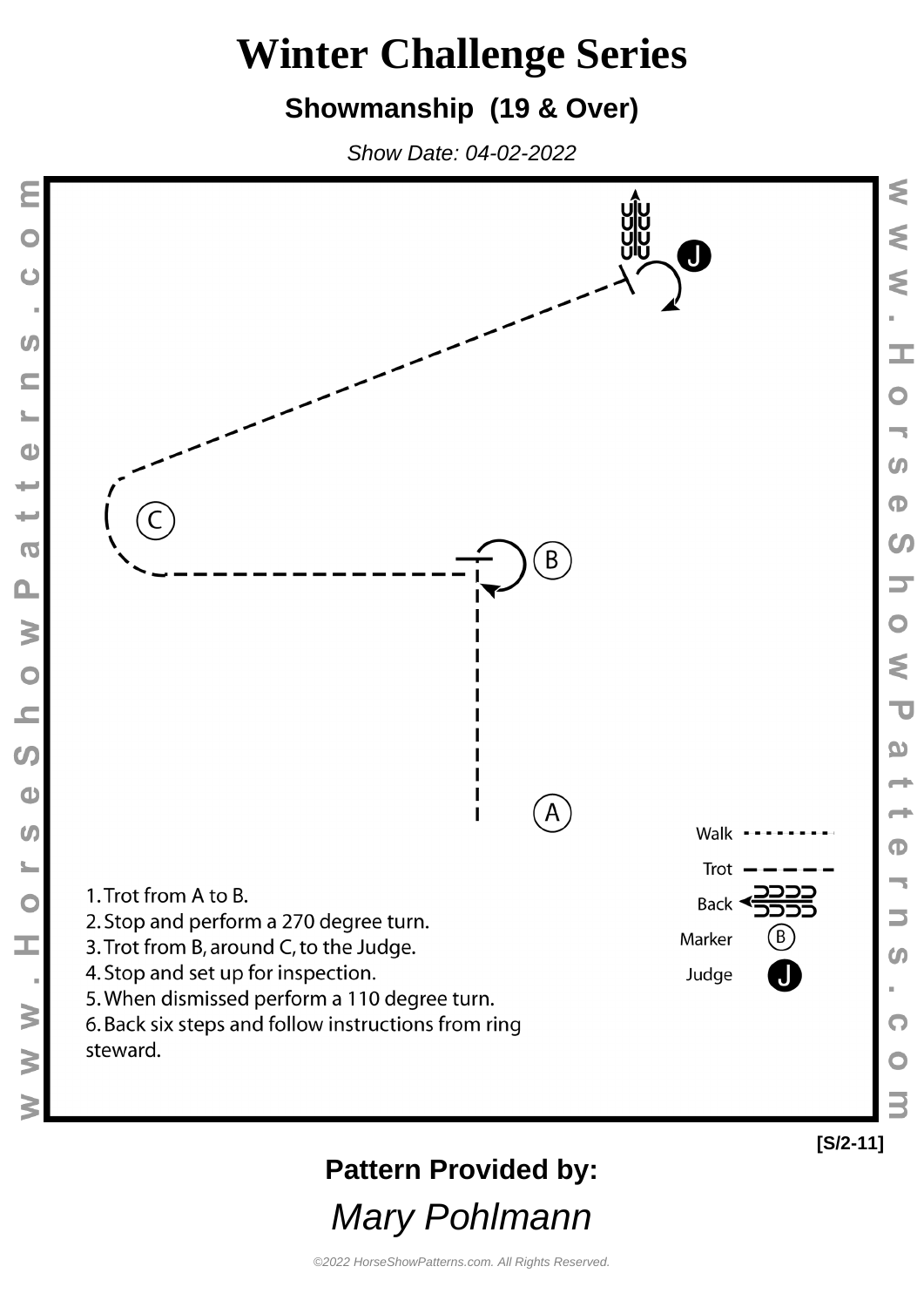#### **Showmanship (19 & Over)**

Show Date: 04-02-2022

 $\mathbb{C}$ 

 $\boldsymbol{U}$ 

 $\bullet$ 

 $\overline{\phantom{a}}$ 

₩

 $\overline{\mathbf{C}}$ 

 $\mathbf{\Omega}$ 

N O N

 $\boldsymbol{\omega}$ 

 $\bullet$ 

 $\omega$ 

 $\blacktriangleright$ 

 $\overline{C}$ 

I,

 $\geq$ 

 $\geq$ 



### **Pattern Provided by:**